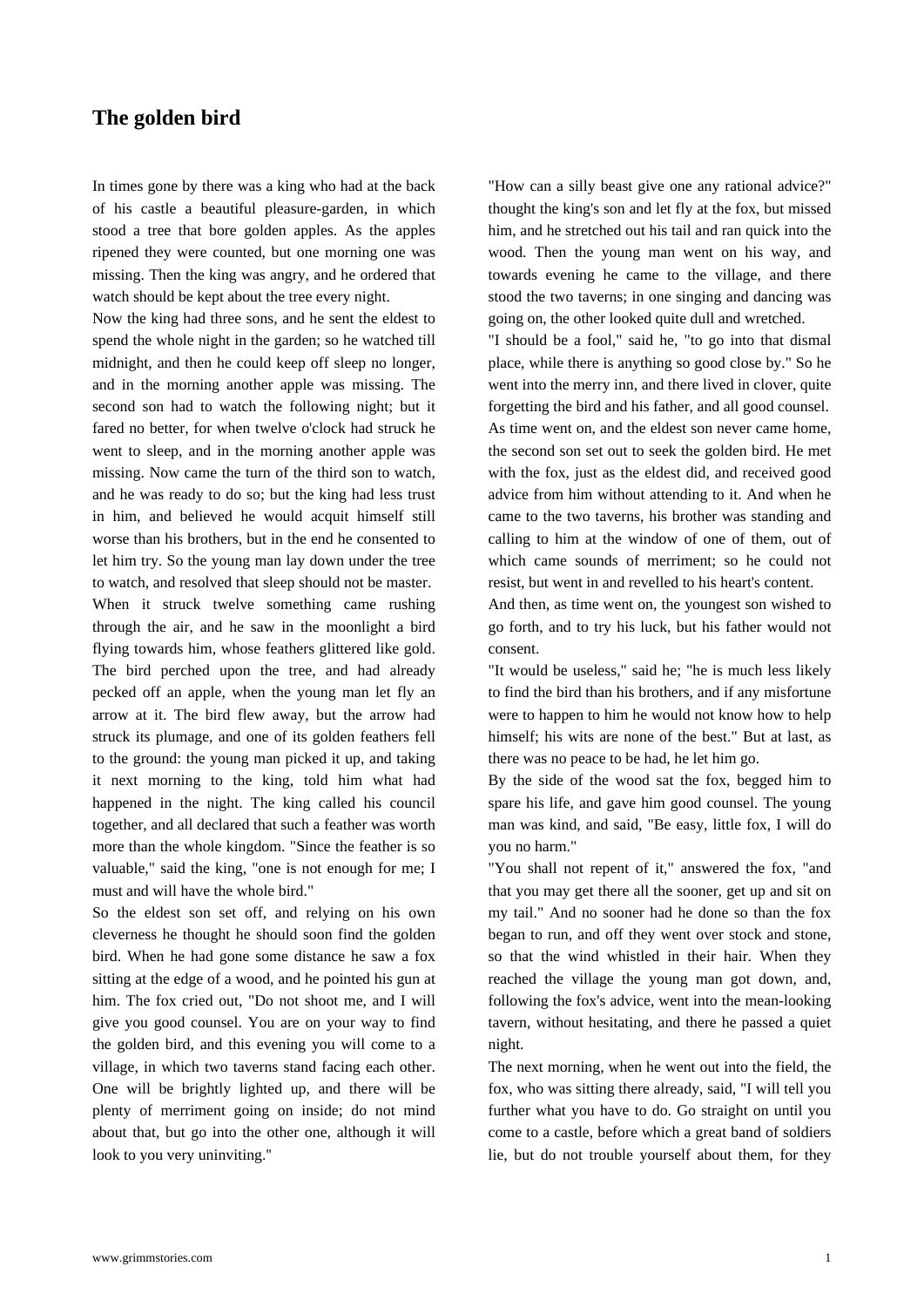## **The golden bird**

[In times gone by there w](https://www.grimmstories.com/en/grimm_fairy-tales/the_golden_bird)as a king who had at the back of his castle a beautiful pleasure-garden, in which stood a tree that bore golden apples. As the apples ripened they were counted, but one morning one was missing. Then the king was angry, and he ordered that watch should be kept about the tree every night.

Now the king had three sons, and he sent the eldest to spend the whole night in the garden; so he watched till midnight, and then he could keep off sleep no longer, and in the morning another apple was missing. The second son had to watch the following night; but it fared no better, for when twelve o'clock had struck he went to sleep, and in the morning another apple was missing. Now came the turn of the third son to watch, and he was ready to do so; but the king had less trust in him, and believed he would acquit himself still worse than his brothers, but in the end he consented to let him try. So the young man lay down under the tree to watch, and resolved that sleep should not be master. When it struck twelve something came rushing

through the air, and he saw in the moonlight a bird flying towards him, whose feathers glittered like gold. The bird perched upon the tree, and had already pecked off an apple, when the young man let fly an arrow at it. The bird flew away, but the arrow had struck its plumage, and one of its golden feathers fell to the ground: the young man picked it up, and taking it next morning to the king, told him what had happened in the night. The king called his council together, and all declared that such a feather was worth more than the whole kingdom. "Since the feather is so valuable," said the king, "one is not enough for me; I must and will have the whole bird."

So the eldest son set off, and relying on his own cleverness he thought he should soon find the golden bird. When he had gone some distance he saw a fox sitting at the edge of a wood, and he pointed his gun at him. The fox cried out, "Do not shoot me, and I will give you good counsel. You are on your way to find the golden bird, and this evening you will come to a village, in which two taverns stand facing each other. One will be brightly lighted up, and there will be plenty of merriment going on inside; do not mind about that, but go into the other one, although it will look to you very uninviting."

"How can a silly beast give one any rational advice?" thought the king's son and let fly at the fox, but missed him, and he stretched out his tail and ran quick into the wood. Then the young man went on his way, and towards evening he came to the village, and there stood the two taverns; in one singing and dancing was going on, the other looked quite dull and wretched.

"I should be a fool," said he, "to go into that dismal place, while there is anything so good close by." So he went into the merry inn, and there lived in clover, quite forgetting the bird and his father, and all good counsel. As time went on, and the eldest son never came home, the second son set out to seek the golden bird. He met with the fox, just as the eldest did, and received good advice from him without attending to it. And when he came to the two taverns, his brother was standing and calling to him at the window of one of them, out of which came sounds of merriment; so he could not resist, but went in and revelled to his heart's content.

And then, as time went on, the youngest son wished to go forth, and to try his luck, but his father would not consent.

"It would be useless," said he; "he is much less likely to find the bird than his brothers, and if any misfortune were to happen to him he would not know how to help himself; his wits are none of the best." But at last, as there was no peace to be had, he let him go.

By the side of the wood sat the fox, begged him to spare his life, and gave him good counsel. The young man was kind, and said, "Be easy, little fox, I will do you no harm."

"You shall not repent of it," answered the fox, "and that you may get there all the sooner, get up and sit on my tail." And no sooner had he done so than the fox began to run, and off they went over stock and stone, so that the wind whistled in their hair. When they reached the village the young man got down, and, following the fox's advice, went into the mean-looking tavern, without hesitating, and there he passed a quiet night.

The next morning, when he went out into the field, the fox, who was sitting there already, said, "I will tell you further what you have to do. Go straight on until you come to a castle, before which a great band of soldiers lie, but do not trouble yourself about them, for they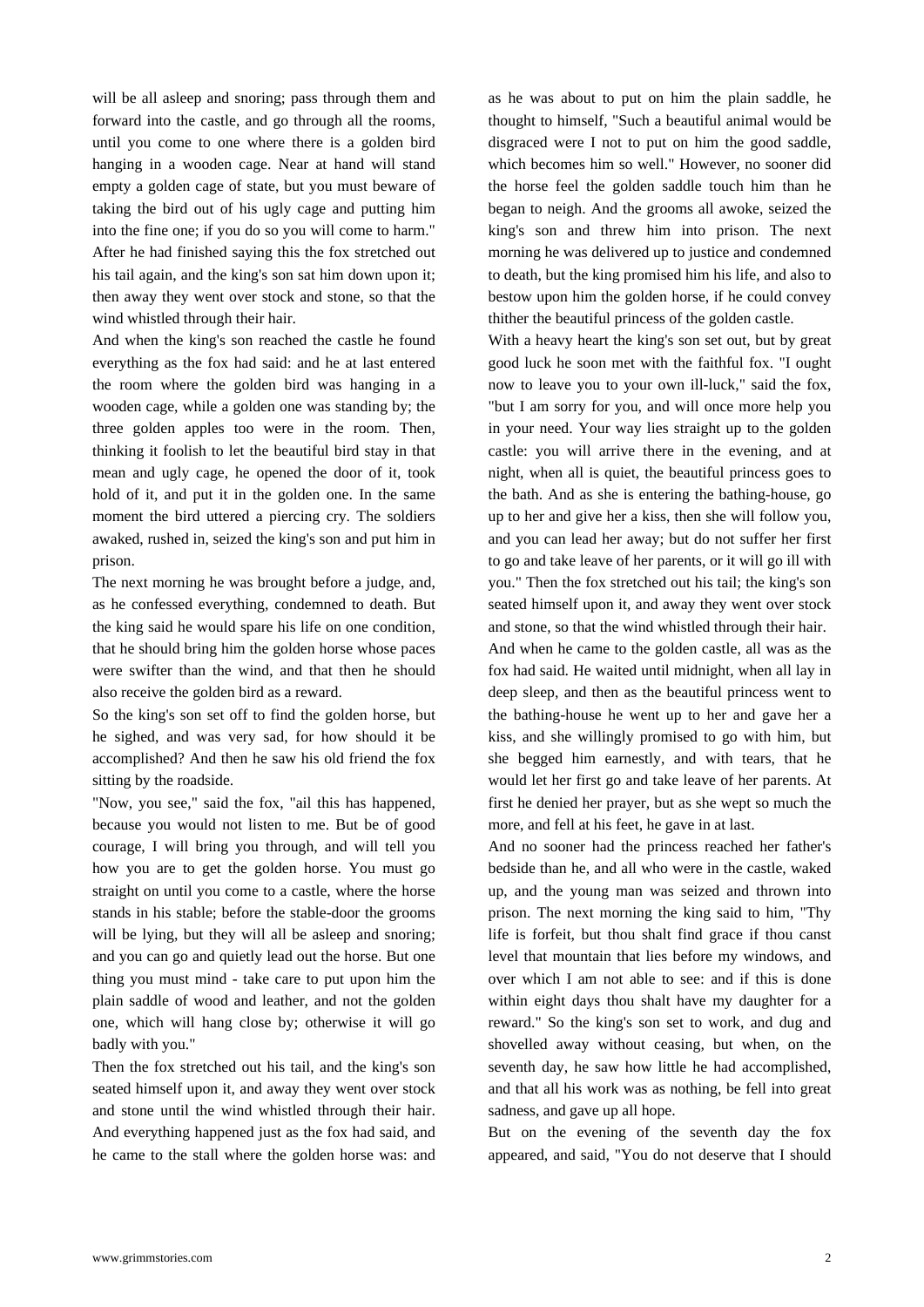will be all asleep and snoring; pass through them and forward into the castle, and go through all the rooms, until you come to one where there is a golden bird hanging in a wooden cage. Near at hand will stand empty a golden cage of state, but you must beware of taking the bird out of his ugly cage and putting him into the fine one; if you do so you will come to harm." After he had finished saying this the fox stretched out his tail again, and the king's son sat him down upon it; then away they went over stock and stone, so that the wind whistled through their hair.

And when the king's son reached the castle he found everything as the fox had said: and he at last entered the room where the golden bird was hanging in a wooden cage, while a golden one was standing by; the three golden apples too were in the room. Then, thinking it foolish to let the beautiful bird stay in that mean and ugly cage, he opened the door of it, took hold of it, and put it in the golden one. In the same moment the bird uttered a piercing cry. The soldiers awaked, rushed in, seized the king's son and put him in prison.

The next morning he was brought before a judge, and, as he confessed everything, condemned to death. But the king said he would spare his life on one condition, that he should bring him the golden horse whose paces were swifter than the wind, and that then he should also receive the golden bird as a reward.

So the king's son set off to find the golden horse, but he sighed, and was very sad, for how should it be accomplished? And then he saw his old friend the fox sitting by the roadside.

"Now, you see," said the fox, "ail this has happened, because you would not listen to me. But be of good courage, I will bring you through, and will tell you how you are to get the golden horse. You must go straight on until you come to a castle, where the horse stands in his stable; before the stable-door the grooms will be lying, but they will all be asleep and snoring; and you can go and quietly lead out the horse. But one thing you must mind - take care to put upon him the plain saddle of wood and leather, and not the golden one, which will hang close by; otherwise it will go badly with you."

Then the fox stretched out his tail, and the king's son seated himself upon it, and away they went over stock and stone until the wind whistled through their hair. And everything happened just as the fox had said, and he came to the stall where the golden horse was: and as he was about to put on him the plain saddle, he thought to himself, "Such a beautiful animal would be disgraced were I not to put on him the good saddle, which becomes him so well." However, no sooner did the horse feel the golden saddle touch him than he began to neigh. And the grooms all awoke, seized the king's son and threw him into prison. The next morning he was delivered up to justice and condemned to death, but the king promised him his life, and also to bestow upon him the golden horse, if he could convey thither the beautiful princess of the golden castle.

With a heavy heart the king's son set out, but by great good luck he soon met with the faithful fox. "I ought now to leave you to your own ill-luck," said the fox, "but I am sorry for you, and will once more help you in your need. Your way lies straight up to the golden castle: you will arrive there in the evening, and at night, when all is quiet, the beautiful princess goes to the bath. And as she is entering the bathing-house, go up to her and give her a kiss, then she will follow you, and you can lead her away; but do not suffer her first to go and take leave of her parents, or it will go ill with you." Then the fox stretched out his tail; the king's son seated himself upon it, and away they went over stock and stone, so that the wind whistled through their hair. And when he came to the golden castle, all was as the fox had said. He waited until midnight, when all lay in deep sleep, and then as the beautiful princess went to the bathing-house he went up to her and gave her a kiss, and she willingly promised to go with him, but she begged him earnestly, and with tears, that he would let her first go and take leave of her parents. At first he denied her prayer, but as she wept so much the

And no sooner had the princess reached her father's bedside than he, and all who were in the castle, waked up, and the young man was seized and thrown into prison. The next morning the king said to him, "Thy life is forfeit, but thou shalt find grace if thou canst level that mountain that lies before my windows, and over which I am not able to see: and if this is done within eight days thou shalt have my daughter for a reward." So the king's son set to work, and dug and shovelled away without ceasing, but when, on the seventh day, he saw how little he had accomplished, and that all his work was as nothing, be fell into great sadness, and gave up all hope.

more, and fell at his feet, he gave in at last.

But on the evening of the seventh day the fox appeared, and said, "You do not deserve that I should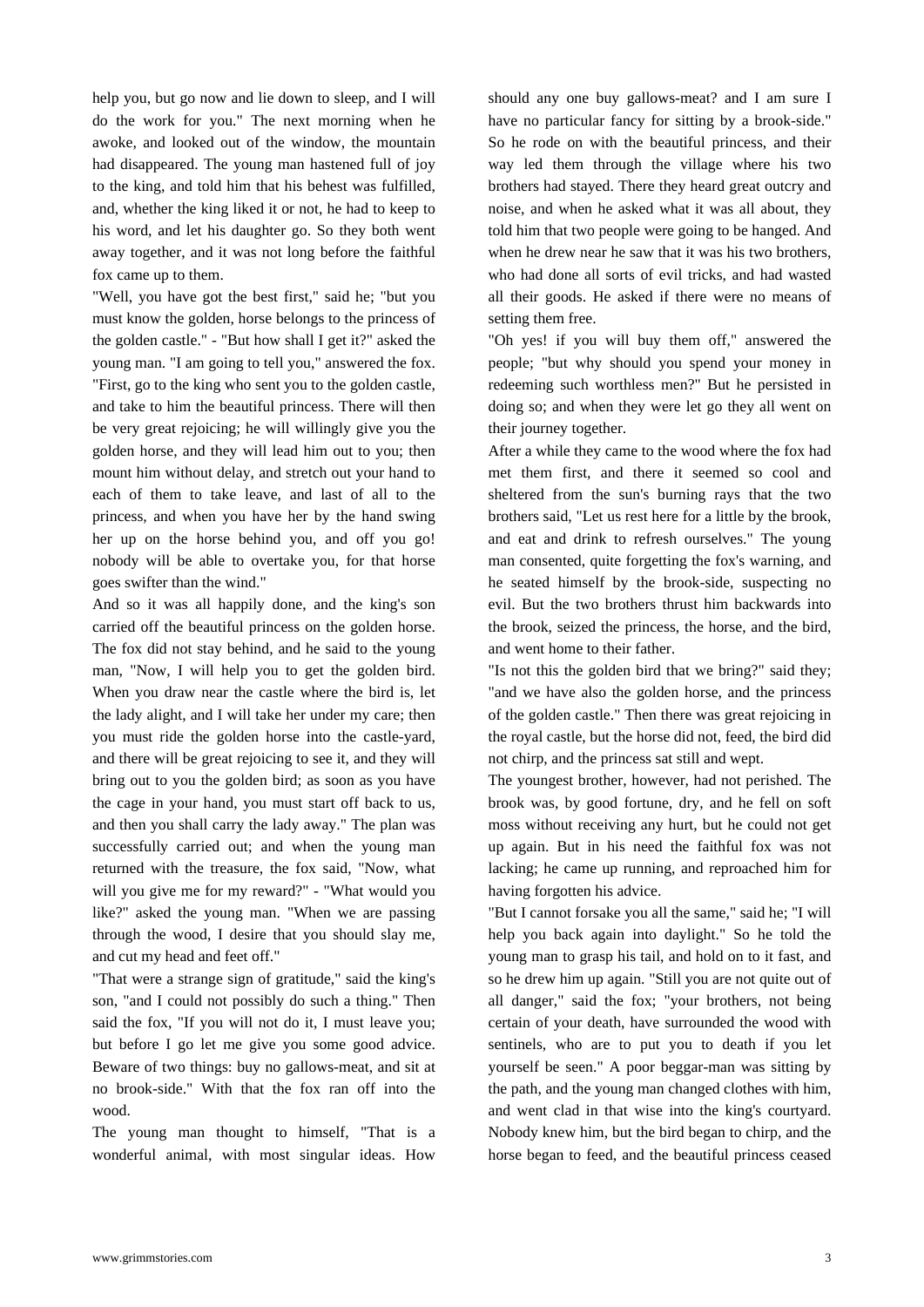help you, but go now and lie down to sleep, and I will do the work for you." The next morning when he awoke, and looked out of the window, the mountain had disappeared. The young man hastened full of joy to the king, and told him that his behest was fulfilled, and, whether the king liked it or not, he had to keep to his word, and let his daughter go. So they both went away together, and it was not long before the faithful fox came up to them.

"Well, you have got the best first," said he; "but you must know the golden, horse belongs to the princess of the golden castle." - "But how shall I get it?" asked the young man. "I am going to tell you," answered the fox. "First, go to the king who sent you to the golden castle, and take to him the beautiful princess. There will then be very great rejoicing; he will willingly give you the golden horse, and they will lead him out to you; then mount him without delay, and stretch out your hand to each of them to take leave, and last of all to the princess, and when you have her by the hand swing her up on the horse behind you, and off you go! nobody will be able to overtake you, for that horse goes swifter than the wind."

And so it was all happily done, and the king's son carried off the beautiful princess on the golden horse. The fox did not stay behind, and he said to the young man, "Now, I will help you to get the golden bird. When you draw near the castle where the bird is, let the lady alight, and I will take her under my care; then you must ride the golden horse into the castle-yard, and there will be great rejoicing to see it, and they will bring out to you the golden bird; as soon as you have the cage in your hand, you must start off back to us, and then you shall carry the lady away." The plan was successfully carried out; and when the young man returned with the treasure, the fox said, "Now, what will you give me for my reward?" - "What would you like?" asked the young man. "When we are passing through the wood, I desire that you should slay me, and cut my head and feet off."

"That were a strange sign of gratitude," said the king's son, "and I could not possibly do such a thing." Then said the fox, "If you will not do it, I must leave you; but before I go let me give you some good advice. Beware of two things: buy no gallows-meat, and sit at no brook-side." With that the fox ran off into the wood.

The young man thought to himself, "That is a wonderful animal, with most singular ideas. How should any one buy gallows-meat? and I am sure I have no particular fancy for sitting by a brook-side." So he rode on with the beautiful princess, and their way led them through the village where his two brothers had stayed. There they heard great outcry and noise, and when he asked what it was all about, they told him that two people were going to be hanged. And when he drew near he saw that it was his two brothers, who had done all sorts of evil tricks, and had wasted all their goods. He asked if there were no means of setting them free.

"Oh yes! if you will buy them off," answered the people; "but why should you spend your money in redeeming such worthless men?" But he persisted in doing so; and when they were let go they all went on their journey together.

After a while they came to the wood where the fox had met them first, and there it seemed so cool and sheltered from the sun's burning rays that the two brothers said, "Let us rest here for a little by the brook, and eat and drink to refresh ourselves." The young man consented, quite forgetting the fox's warning, and he seated himself by the brook-side, suspecting no evil. But the two brothers thrust him backwards into the brook, seized the princess, the horse, and the bird, and went home to their father.

"Is not this the golden bird that we bring?" said they; "and we have also the golden horse, and the princess of the golden castle." Then there was great rejoicing in the royal castle, but the horse did not, feed, the bird did not chirp, and the princess sat still and wept.

The youngest brother, however, had not perished. The brook was, by good fortune, dry, and he fell on soft moss without receiving any hurt, but he could not get up again. But in his need the faithful fox was not lacking; he came up running, and reproached him for having forgotten his advice.

"But I cannot forsake you all the same," said he; "I will help you back again into daylight." So he told the young man to grasp his tail, and hold on to it fast, and so he drew him up again. "Still you are not quite out of all danger," said the fox; "your brothers, not being certain of your death, have surrounded the wood with sentinels, who are to put you to death if you let yourself be seen." A poor beggar-man was sitting by the path, and the young man changed clothes with him, and went clad in that wise into the king's courtyard. Nobody knew him, but the bird began to chirp, and the horse began to feed, and the beautiful princess ceased